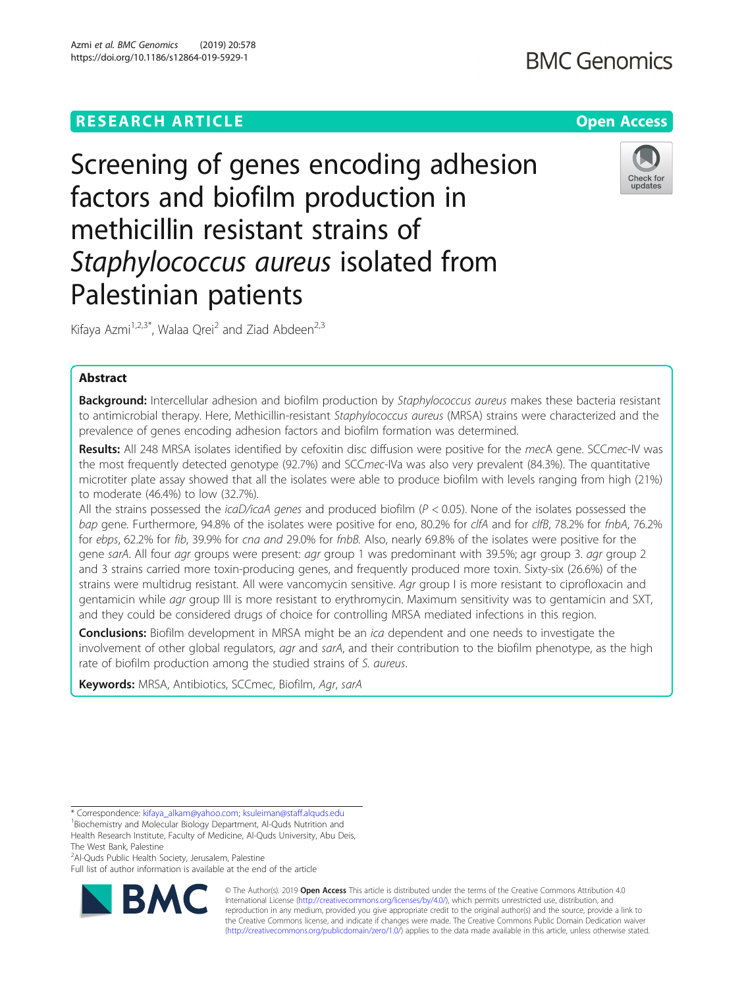**BMC Genomics** 



# Screening of genes encoding adhesion factors and biofilm production in methicillin resistant strains of Staphylococcus aureus isolated from Palestinian patients

Kifaya Azmi<sup>1,2,3\*</sup>, Walaa Qrei<sup>2</sup> and Ziad Abdeen<sup>2,3</sup>

# Abstract

Background: Intercellular adhesion and biofilm production by Staphylococcus aureus makes these bacteria resistant to antimicrobial therapy. Here, Methicillin-resistant Staphylococcus aureus (MRSA) strains were characterized and the prevalence of genes encoding adhesion factors and biofilm formation was determined.

Results: All 248 MRSA isolates identified by cefoxitin disc diffusion were positive for the mecA gene. SCCmec-IV was the most frequently detected genotype (92.7%) and SCCmec-IVa was also very prevalent (84.3%). The quantitative microtiter plate assay showed that all the isolates were able to produce biofilm with levels ranging from high (21%) to moderate (46.4%) to low (32.7%).

All the strains possessed the *icaD/icaA genes* and produced biofilm ( $P < 0.05$ ). None of the isolates possessed the bap gene. Furthermore, 94.8% of the isolates were positive for eno, 80.2% for clfA and for clfB, 78.2% for fnbA, 76.2% for ebps, 62.2% for fib, 39.9% for cna and 29.0% for fnbB. Also, nearly 69.8% of the isolates were positive for the gene sarA. All four agr groups were present: agr group 1 was predominant with 39.5%; agr group 3. agr group 2 and 3 strains carried more toxin-producing genes, and frequently produced more toxin. Sixty-six (26.6%) of the strains were multidrug resistant. All were vancomycin sensitive. Agr group I is more resistant to ciprofloxacin and gentamicin while agr group III is more resistant to erythromycin. Maximum sensitivity was to gentamicin and SXT, and they could be considered drugs of choice for controlling MRSA mediated infections in this region.

Conclusions: Biofilm development in MRSA might be an ica dependent and one needs to investigate the involvement of other global regulators, agr and sarA, and their contribution to the biofilm phenotype, as the high rate of biofilm production among the studied strains of S. aureus.

Keywords: MRSA, Antibiotics, SCCmec, Biofilm, Agr, sarA

<sup>2</sup>Al-Quds Public Health Society, Jerusalem, Palestine

Full list of author information is available at the end of the article



© The Author(s). 2019 **Open Access** This article is distributed under the terms of the Creative Commons Attribution 4.0 International License [\(http://creativecommons.org/licenses/by/4.0/](http://creativecommons.org/licenses/by/4.0/)), which permits unrestricted use, distribution, and reproduction in any medium, provided you give appropriate credit to the original author(s) and the source, provide a link to the Creative Commons license, and indicate if changes were made. The Creative Commons Public Domain Dedication waiver [\(http://creativecommons.org/publicdomain/zero/1.0/](http://creativecommons.org/publicdomain/zero/1.0/)) applies to the data made available in this article, unless otherwise stated.

<sup>\*</sup> Correspondence: [kifaya\\_alkam@yahoo.com](mailto:kifaya_alkam@yahoo.com); [ksuleiman@staff.alquds.edu](mailto:ksuleiman@staff.alquds.edu) <sup>1</sup>

<sup>&</sup>lt;sup>1</sup>Biochemistry and Molecular Biology Department, Al-Quds Nutrition and Health Research Institute, Faculty of Medicine, Al-Quds University, Abu Deis, The West Bank, Palestine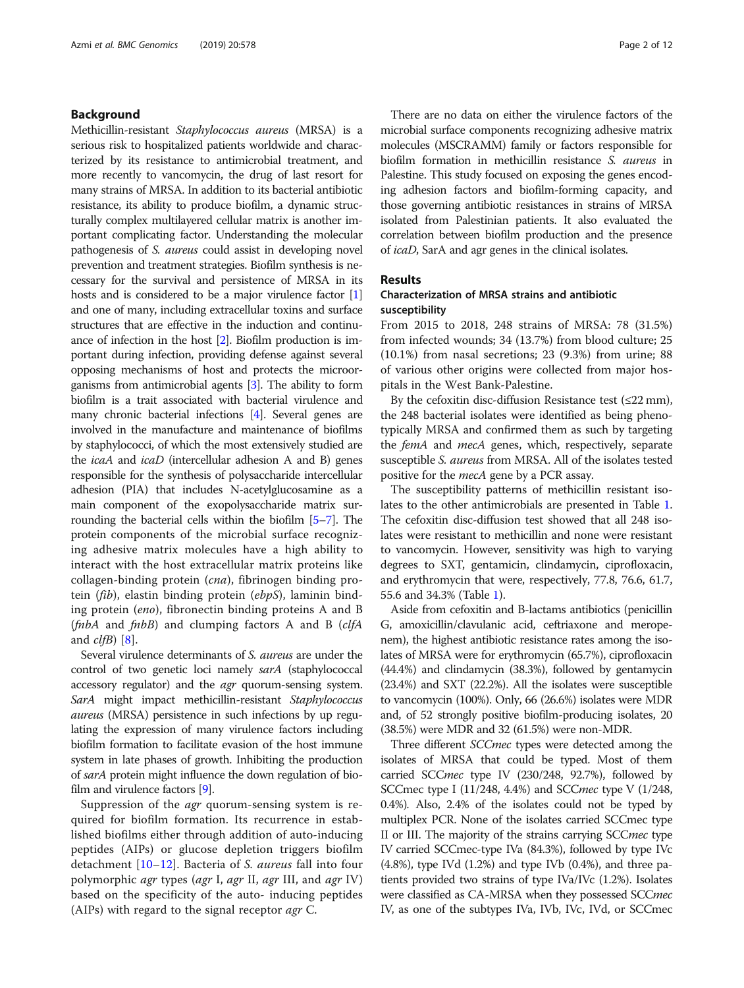# Background

Methicillin-resistant Staphylococcus aureus (MRSA) is a serious risk to hospitalized patients worldwide and characterized by its resistance to antimicrobial treatment, and more recently to vancomycin, the drug of last resort for many strains of MRSA. In addition to its bacterial antibiotic resistance, its ability to produce biofilm, a dynamic structurally complex multilayered cellular matrix is another important complicating factor. Understanding the molecular pathogenesis of S. aureus could assist in developing novel prevention and treatment strategies. Biofilm synthesis is necessary for the survival and persistence of MRSA in its hosts and is considered to be a major virulence factor [[1](#page-9-0)] and one of many, including extracellular toxins and surface structures that are effective in the induction and continuance of infection in the host [\[2\]](#page-9-0). Biofilm production is important during infection, providing defense against several opposing mechanisms of host and protects the microorganisms from antimicrobial agents [[3\]](#page-9-0). The ability to form biofilm is a trait associated with bacterial virulence and many chronic bacterial infections [\[4\]](#page-9-0). Several genes are involved in the manufacture and maintenance of biofilms by staphylococci, of which the most extensively studied are the icaA and icaD (intercellular adhesion A and B) genes responsible for the synthesis of polysaccharide intercellular adhesion (PIA) that includes N-acetylglucosamine as a main component of the exopolysaccharide matrix surrounding the bacterial cells within the biofilm [[5](#page-9-0)–[7\]](#page-10-0). The protein components of the microbial surface recognizing adhesive matrix molecules have a high ability to interact with the host extracellular matrix proteins like collagen-binding protein (*cna*), fibrinogen binding protein (fib), elastin binding protein (ebpS), laminin binding protein (eno), fibronectin binding proteins A and B (fnbA and fnbB) and clumping factors A and B  $(clfA$ and  $clfB$  [[8\]](#page-10-0).

Several virulence determinants of S. aureus are under the control of two genetic loci namely sarA (staphylococcal accessory regulator) and the agr quorum-sensing system. SarA might impact methicillin-resistant Staphylococcus aureus (MRSA) persistence in such infections by up regulating the expression of many virulence factors including biofilm formation to facilitate evasion of the host immune system in late phases of growth. Inhibiting the production of sarA protein might influence the down regulation of biofilm and virulence factors [\[9\]](#page-10-0).

Suppression of the agr quorum-sensing system is required for biofilm formation. Its recurrence in established biofilms either through addition of auto-inducing peptides (AIPs) or glucose depletion triggers biofilm detachment [\[10](#page-10-0)–[12](#page-10-0)]. Bacteria of S. aureus fall into four polymorphic agr types (agr I, agr II, agr III, and agr IV) based on the specificity of the auto- inducing peptides (AIPs) with regard to the signal receptor agr C.

There are no data on either the virulence factors of the microbial surface components recognizing adhesive matrix molecules (MSCRAMM) family or factors responsible for biofilm formation in methicillin resistance S. aureus in Palestine. This study focused on exposing the genes encoding adhesion factors and biofilm-forming capacity, and those governing antibiotic resistances in strains of MRSA isolated from Palestinian patients. It also evaluated the correlation between biofilm production and the presence of icaD, SarA and agr genes in the clinical isolates.

# Results

# Characterization of MRSA strains and antibiotic susceptibility

From 2015 to 2018, 248 strains of MRSA: 78 (31.5%) from infected wounds; 34 (13.7%) from blood culture; 25 (10.1%) from nasal secretions; 23 (9.3%) from urine; 88 of various other origins were collected from major hospitals in the West Bank-Palestine.

By the cefoxitin disc-diffusion Resistance test  $(\leq 22 \text{ mm})$ , the 248 bacterial isolates were identified as being phenotypically MRSA and confirmed them as such by targeting the *femA* and *mecA* genes, which, respectively, separate susceptible S. aureus from MRSA. All of the isolates tested positive for the *mecA* gene by a PCR assay.

The susceptibility patterns of methicillin resistant isolates to the other antimicrobials are presented in Table [1](#page-2-0). The cefoxitin disc-diffusion test showed that all 248 isolates were resistant to methicillin and none were resistant to vancomycin. However, sensitivity was high to varying degrees to SXT, gentamicin, clindamycin, ciprofloxacin, and erythromycin that were, respectively, 77.8, 76.6, 61.7, 55.6 and 34.3% (Table [1\)](#page-2-0).

Aside from cefoxitin and B-lactams antibiotics (penicillin G, amoxicillin/clavulanic acid, ceftriaxone and meropenem), the highest antibiotic resistance rates among the isolates of MRSA were for erythromycin (65.7%), ciprofloxacin (44.4%) and clindamycin (38.3%), followed by gentamycin (23.4%) and SXT (22.2%). All the isolates were susceptible to vancomycin (100%). Only, 66 (26.6%) isolates were MDR and, of 52 strongly positive biofilm-producing isolates, 20 (38.5%) were MDR and 32 (61.5%) were non-MDR.

Three different SCCmec types were detected among the isolates of MRSA that could be typed. Most of them carried SCCmec type IV (230/248, 92.7%), followed by SCCmec type I (11/248, 4.4%) and SCCmec type V (1/248, 0.4%). Also, 2.4% of the isolates could not be typed by multiplex PCR. None of the isolates carried SCCmec type II or III. The majority of the strains carrying SCCmec type IV carried SCCmec-type IVa (84.3%), followed by type IVc (4.8%), type IVd (1.2%) and type IVb (0.4%), and three patients provided two strains of type IVa/IVc (1.2%). Isolates were classified as CA-MRSA when they possessed SCCmec IV, as one of the subtypes IVa, IVb, IVc, IVd, or SCCmec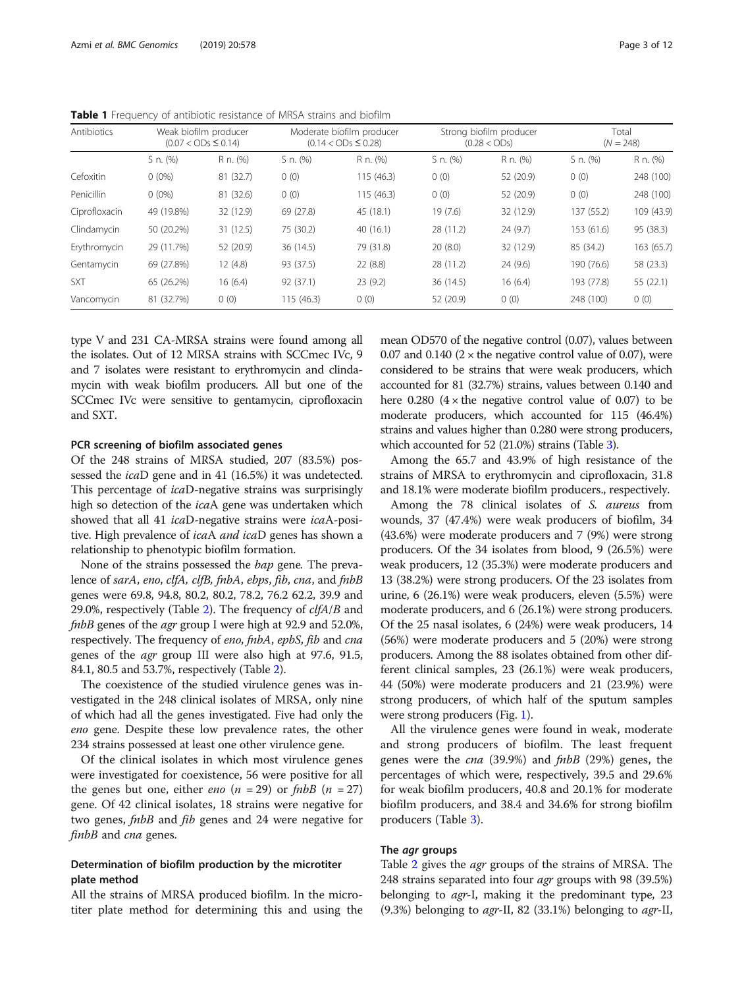| Antibiotics   | Weak biofilm producer<br>$(0.07 <$ ODs $\leq$ 0.14) |           | Moderate biofilm producer<br>$(0.14 <$ ODs $\leq$ 0.28) |            | Strong biofilm producer<br>$(0.28 <$ ODs) |           | Total<br>$(N = 248)$ |            |
|---------------|-----------------------------------------------------|-----------|---------------------------------------------------------|------------|-------------------------------------------|-----------|----------------------|------------|
|               | S n. (%)                                            | R n. (%)  | S n. (%)                                                | R n. (%)   | S n. (%)                                  | R n. (%)  | S n. (%)             | R n. (%)   |
| Cefoxitin     | $0(0\%)$                                            | 81 (32.7) | 0(0)                                                    | 115 (46.3) | 0(0)                                      | 52 (20.9) | 0(0)                 | 248 (100)  |
| Penicillin    | $0(0\%)$                                            | 81 (32.6) | 0(0)                                                    | 115(46.3)  | 0(0)                                      | 52 (20.9) | 0(0)                 | 248 (100)  |
| Ciprofloxacin | 49 (19.8%)                                          | 32 (12.9) | 69 (27.8)                                               | 45 (18.1)  | 19 (7.6)                                  | 32 (12.9) | 137 (55.2)           | 109 (43.9) |
| Clindamycin   | 50 (20.2%)                                          | 31 (12.5) | 75 (30.2)                                               | 40(16.1)   | 28 (11.2)                                 | 24 (9.7)  | 153 (61.6)           | 95 (38.3)  |
| Erythromycin  | 29 (11.7%)                                          | 52 (20.9) | 36 (14.5)                                               | 79 (31.8)  | 20(8.0)                                   | 32 (12.9) | 85 (34.2)            | 163 (65.7) |
| Gentamycin    | 69 (27.8%)                                          | 12(4.8)   | 93 (37.5)                                               | 22(8.8)    | 28 (11.2)                                 | 24 (9.6)  | 190 (76.6)           | 58 (23.3)  |
| <b>SXT</b>    | 65 (26.2%)                                          | 16(6.4)   | 92 (37.1)                                               | 23(9.2)    | 36 (14.5)                                 | 16(6.4)   | 193 (77.8)           | 55 (22.1)  |
| Vancomycin    | 81 (32.7%)                                          | 0(0)      | 115 (46.3)                                              | 0(0)       | 52 (20.9)                                 | 0(0)      | 248 (100)            | 0(0)       |

<span id="page-2-0"></span>Table 1 Frequency of antibiotic resistance of MRSA strains and biofilm

type V and 231 CA-MRSA strains were found among all the isolates. Out of 12 MRSA strains with SCCmec IVc, 9 and 7 isolates were resistant to erythromycin and clindamycin with weak biofilm producers. All but one of the SCCmec IVc were sensitive to gentamycin, ciprofloxacin and SXT.

## PCR screening of biofilm associated genes

Of the 248 strains of MRSA studied, 207 (83.5%) possessed the icaD gene and in 41 (16.5%) it was undetected. This percentage of icaD-negative strains was surprisingly high so detection of the icaA gene was undertaken which showed that all 41 *ica*D-negative strains were *ica*A-positive. High prevalence of *icaA and icaD* genes has shown a relationship to phenotypic biofilm formation.

None of the strains possessed the bap gene. The prevalence of sarA, eno, clfA, clfB, fnbA, ebps, fib, cna, and fnbB genes were 69.8, 94.8, 80.2, 80.2, 78.2, 76.2 62.2, 39.9 and [2](#page-3-0)9.0%, respectively (Table 2). The frequency of  $\text{clfA/B}$  and fnbB genes of the *agr* group I were high at 92.9 and 52.0%, respectively. The frequency of eno, fnbA, epbS, fib and cna genes of the agr group III were also high at 97.6, 91.5, 84.1, 80.5 and 53.7%, respectively (Table [2\)](#page-3-0).

The coexistence of the studied virulence genes was investigated in the 248 clinical isolates of MRSA, only nine of which had all the genes investigated. Five had only the eno gene. Despite these low prevalence rates, the other 234 strains possessed at least one other virulence gene.

Of the clinical isolates in which most virulence genes were investigated for coexistence, 56 were positive for all the genes but one, either *eno*  $(n = 29)$  or *fnbB*  $(n = 27)$ gene. Of 42 clinical isolates, 18 strains were negative for two genes, fnbB and fib genes and 24 were negative for finbB and cna genes.

# Determination of biofilm production by the microtiter plate method

All the strains of MRSA produced biofilm. In the microtiter plate method for determining this and using the

mean OD570 of the negative control (0.07), values between 0.07 and 0.140 ( $2 \times$  the negative control value of 0.07), were considered to be strains that were weak producers, which accounted for 81 (32.7%) strains, values between 0.140 and here  $0.280 \left(4 \times \text{the negative control value of } 0.07\right)$  to be moderate producers, which accounted for 115 (46.4%) strains and values higher than 0.280 were strong producers, which accounted for 52 (21.0%) strains (Table [3\)](#page-4-0).

Among the 65.7 and 43.9% of high resistance of the strains of MRSA to erythromycin and ciprofloxacin, 31.8 and 18.1% were moderate biofilm producers., respectively.

Among the 78 clinical isolates of S. aureus from wounds, 37 (47.4%) were weak producers of biofilm, 34 (43.6%) were moderate producers and 7 (9%) were strong producers. Of the 34 isolates from blood, 9 (26.5%) were weak producers, 12 (35.3%) were moderate producers and 13 (38.2%) were strong producers. Of the 23 isolates from urine, 6 (26.1%) were weak producers, eleven (5.5%) were moderate producers, and 6 (26.1%) were strong producers. Of the 25 nasal isolates, 6 (24%) were weak producers, 14 (56%) were moderate producers and 5 (20%) were strong producers. Among the 88 isolates obtained from other different clinical samples, 23 (26.1%) were weak producers, 44 (50%) were moderate producers and 21 (23.9%) were strong producers, of which half of the sputum samples were strong producers (Fig. [1\)](#page-4-0).

All the virulence genes were found in weak, moderate and strong producers of biofilm. The least frequent genes were the cna (39.9%) and fnbB (29%) genes, the percentages of which were, respectively, 39.5 and 29.6% for weak biofilm producers, 40.8 and 20.1% for moderate biofilm producers, and 38.4 and 34.6% for strong biofilm producers (Table [3\)](#page-4-0).

# The agr groups

Table [2](#page-3-0) gives the agr groups of the strains of MRSA. The 248 strains separated into four agr groups with 98 (39.5%) belonging to agr-I, making it the predominant type, 23  $(9.3\%)$  belonging to *agr*-II, 82  $(33.1\%)$  belonging to *agr*-II,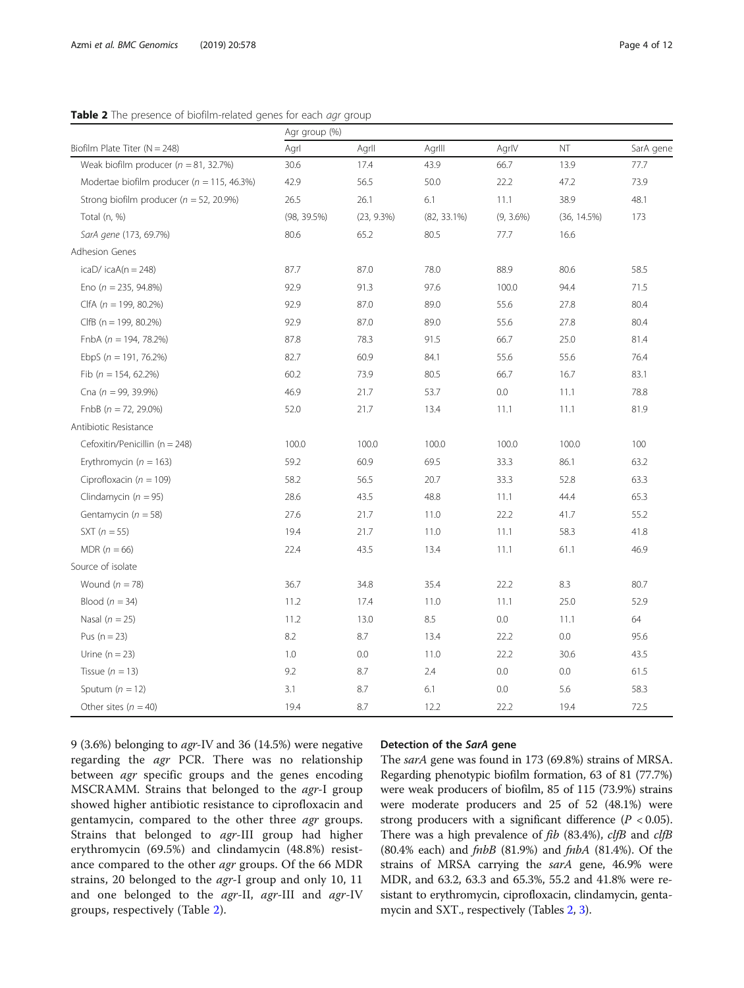<span id="page-3-0"></span>Table 2 The presence of biofilm-related genes for each agr group

|                                                 | Agr group (%)  |            |                |              |             |           |  |
|-------------------------------------------------|----------------|------------|----------------|--------------|-------------|-----------|--|
| Biofilm Plate Titer ( $N = 248$ )               | Agrl           | Agrll      | AgrIII         | AgrlV        | NT          | SarA gene |  |
| Weak biofilm producer ( $n = 81, 32.7\%$ )      | 30.6           | 17.4       | 43.9           | 66.7         | 13.9        | 77.7      |  |
| Modertae biofilm producer ( $n = 115, 46.3\%$ ) | 42.9           | 56.5       | 50.0           | 22.2         | 47.2        | 73.9      |  |
| Strong biofilm producer ( $n = 52$ , 20.9%)     | 26.5           | 26.1       | 6.1            | 11.1         | 38.9        | 48.1      |  |
| Total (n, %)                                    | $(98, 39.5\%)$ | (23, 9.3%) | $(82, 33.1\%)$ | $(9, 3.6\%)$ | (36, 14.5%) | 173       |  |
| SarA gene (173, 69.7%)                          | 80.6           | 65.2       | 80.5           | 77.7         | 16.6        |           |  |
| <b>Adhesion Genes</b>                           |                |            |                |              |             |           |  |
| $icaD/icaA(n = 248)$                            | 87.7           | 87.0       | 78.0           | 88.9         | 80.6        | 58.5      |  |
| Eno ( $n = 235, 94.8\%$ )                       | 92.9           | 91.3       | 97.6           | 100.0        | 94.4        | 71.5      |  |
| CIfA ( $n = 199, 80.2\%)$                       | 92.9           | 87.0       | 89.0           | 55.6         | 27.8        | 80.4      |  |
| $ClfB (n = 199, 80.2%)$                         | 92.9           | 87.0       | 89.0           | 55.6         | 27.8        | 80.4      |  |
| FnbA ( $n = 194, 78.2\%$ )                      | 87.8           | 78.3       | 91.5           | 66.7         | 25.0        | 81.4      |  |
| EbpS $(n = 191, 76.2\%)$                        | 82.7           | 60.9       | 84.1           | 55.6         | 55.6        | 76.4      |  |
| Fib ( $n = 154, 62.2\%$ )                       | 60.2           | 73.9       | 80.5           | 66.7         | 16.7        | 83.1      |  |
| Cna $(n = 99, 39.9\%)$                          | 46.9           | 21.7       | 53.7           | $0.0\,$      | 11.1        | 78.8      |  |
| FnbB $(n = 72, 29.0\%)$                         | 52.0           | 21.7       | 13.4           | 11.1         | 11.1        | 81.9      |  |
| Antibiotic Resistance                           |                |            |                |              |             |           |  |
| Cefoxitin/Penicillin (n = 248)                  | 100.0          | 100.0      | 100.0          | 100.0        | 100.0       | 100       |  |
| Erythromycin ( $n = 163$ )                      | 59.2           | 60.9       | 69.5           | 33.3         | 86.1        | 63.2      |  |
| Ciprofloxacin ( $n = 109$ )                     | 58.2           | 56.5       | 20.7           | 33.3         | 52.8        | 63.3      |  |
| Clindamycin ( $n = 95$ )                        | 28.6           | 43.5       | 48.8           | 11.1         | 44.4        | 65.3      |  |
| Gentamycin ( $n = 58$ )                         | 27.6           | 21.7       | 11.0           | 22.2         | 41.7        | 55.2      |  |
| SXT ( $n = 55$ )                                | 19.4           | 21.7       | 11.0           | 11.1         | 58.3        | 41.8      |  |
| MDR $(n = 66)$                                  | 22.4           | 43.5       | 13.4           | 11.1         | 61.1        | 46.9      |  |
| Source of isolate                               |                |            |                |              |             |           |  |
| Wound $(n = 78)$                                | 36.7           | 34.8       | 35.4           | 22.2         | 8.3         | 80.7      |  |
| Blood ( $n = 34$ )                              | 11.2           | 17.4       | 11.0           | 11.1         | 25.0        | 52.9      |  |
| Nasal ( $n = 25$ )                              | 11.2           | 13.0       | 8.5            | $0.0\,$      | 11.1        | 64        |  |
| Pus $(n = 23)$                                  | 8.2            | 8.7        | 13.4           | 22.2         | 0.0         | 95.6      |  |
| Urine $(n = 23)$                                | 1.0            | 0.0        | 11.0           | 22.2         | 30.6        | 43.5      |  |
| Tissue ( $n = 13$ )                             | 9.2            | 8.7        | 2.4            | $0.0\,$      | 0.0         | 61.5      |  |
| Sputum $(n = 12)$                               | 3.1            | 8.7        | 6.1            | 0.0          | 5.6         | 58.3      |  |
| Other sites $(n = 40)$                          | 19.4           | 8.7        | 12.2           | 22.2         | 19.4        | 72.5      |  |

9 (3.6%) belonging to agr-IV and 36 (14.5%) were negative regarding the agr PCR. There was no relationship between agr specific groups and the genes encoding MSCRAMM. Strains that belonged to the agr-I group showed higher antibiotic resistance to ciprofloxacin and gentamycin, compared to the other three agr groups. Strains that belonged to agr-III group had higher erythromycin (69.5%) and clindamycin (48.8%) resistance compared to the other *agr* groups. Of the 66 MDR strains, 20 belonged to the agr-I group and only 10, 11 and one belonged to the agr-II, agr-III and agr-IV groups, respectively (Table 2).

# Detection of the SarA gene

The sarA gene was found in 173 (69.8%) strains of MRSA. Regarding phenotypic biofilm formation, 63 of 81 (77.7%) were weak producers of biofilm, 85 of 115 (73.9%) strains were moderate producers and 25 of 52 (48.1%) were strong producers with a significant difference  $(P < 0.05)$ . There was a high prevalence of  $fib$  (83.4%),  $clfB$  and  $clfB$ (80.4% each) and fnbB (81.9%) and fnbA (81.4%). Of the strains of MRSA carrying the sarA gene, 46.9% were MDR, and 63.2, 63.3 and 65.3%, 55.2 and 41.8% were resistant to erythromycin, ciprofloxacin, clindamycin, genta-mycin and SXT., respectively (Tables 2, [3\)](#page-4-0).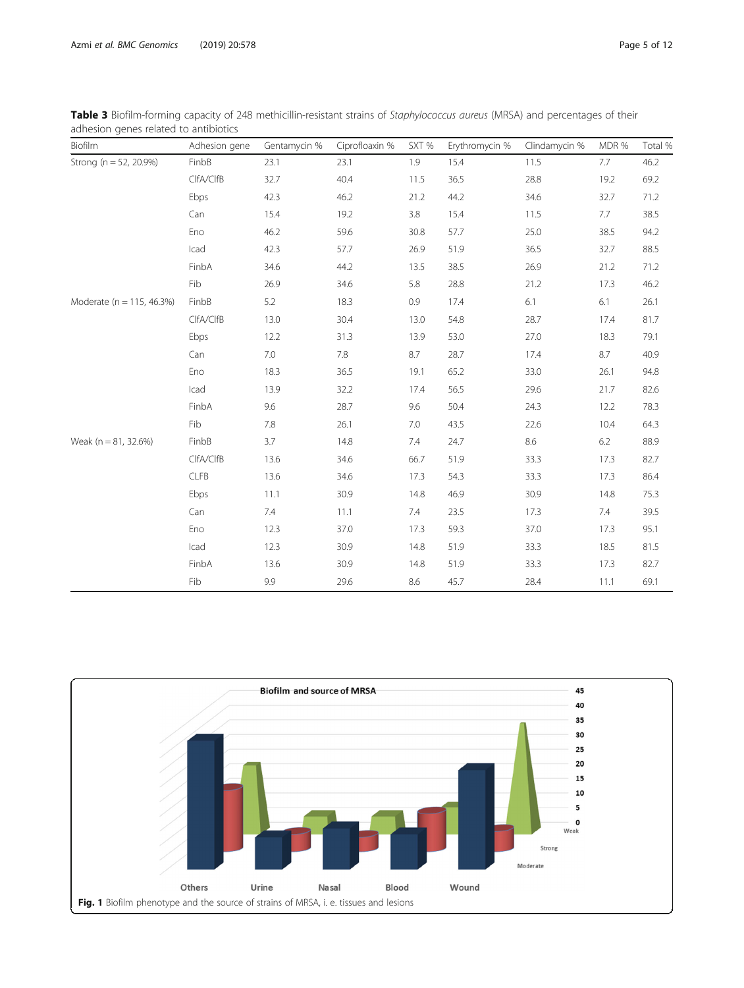<span id="page-4-0"></span>

| Table 3 Biofilm-forming capacity of 248 methicillin-resistant strains of Staphylococcus aureus (MRSA) and percentages of their |  |  |
|--------------------------------------------------------------------------------------------------------------------------------|--|--|
| adhesion genes related to antibiotics                                                                                          |  |  |

| Biofilm                   | Adhesion gene | Gentamycin % | Ciprofloaxin % | SXT % | Erythromycin % | Clindamycin % | MDR % | Total % |
|---------------------------|---------------|--------------|----------------|-------|----------------|---------------|-------|---------|
| Strong (n = 52, 20.9%)    | FinbB         | 23.1         | 23.1           | 1.9   | 15.4           | 11.5          | 7.7   | 46.2    |
|                           | CIfA/CIfB     | 32.7         | 40.4           | 11.5  | 36.5           | 28.8          | 19.2  | 69.2    |
|                           | Ebps          | 42.3         | 46.2           | 21.2  | 44.2           | 34.6          | 32.7  | 71.2    |
|                           | Can           | 15.4         | 19.2           | 3.8   | 15.4           | 11.5          | 7.7   | 38.5    |
|                           | Eno           | 46.2         | 59.6           | 30.8  | 57.7           | 25.0          | 38.5  | 94.2    |
|                           | Icad          | 42.3         | 57.7           | 26.9  | 51.9           | 36.5          | 32.7  | 88.5    |
|                           | FinbA         | 34.6         | 44.2           | 13.5  | 38.5           | 26.9          | 21.2  | 71.2    |
|                           | Fib           | 26.9         | 34.6           | 5.8   | 28.8           | 21.2          | 17.3  | 46.2    |
| Moderate (n = 115, 46.3%) | FinbB         | 5.2          | 18.3           | 0.9   | 17.4           | 6.1           | 6.1   | 26.1    |
|                           | CIfA/CIfB     | 13.0         | 30.4           | 13.0  | 54.8           | 28.7          | 17.4  | 81.7    |
|                           | Ebps          | 12.2         | 31.3           | 13.9  | 53.0           | 27.0          | 18.3  | 79.1    |
|                           | Can           | 7.0          | 7.8            | 8.7   | 28.7           | 17.4          | 8.7   | 40.9    |
|                           | Eno           | 18.3         | 36.5           | 19.1  | 65.2           | 33.0          | 26.1  | 94.8    |
|                           | Icad          | 13.9         | 32.2           | 17.4  | 56.5           | 29.6          | 21.7  | 82.6    |
|                           | FinbA         | 9.6          | 28.7           | 9.6   | 50.4           | 24.3          | 12.2  | 78.3    |
|                           | Fib           | 7.8          | 26.1           | 7.0   | 43.5           | 22.6          | 10.4  | 64.3    |
| Weak (n = 81, 32.6%)      | FinbB         | 3.7          | 14.8           | 7.4   | 24.7           | 8.6           | 6.2   | 88.9    |
|                           | CIfA/CIfB     | 13.6         | 34.6           | 66.7  | 51.9           | 33.3          | 17.3  | 82.7    |
|                           | <b>CLFB</b>   | 13.6         | 34.6           | 17.3  | 54.3           | 33.3          | 17.3  | 86.4    |
|                           | Ebps          | 11.1         | 30.9           | 14.8  | 46.9           | 30.9          | 14.8  | 75.3    |
|                           | Can           | $7.4\,$      | 11.1           | 7.4   | 23.5           | 17.3          | 7.4   | 39.5    |
|                           | Eno           | 12.3         | 37.0           | 17.3  | 59.3           | 37.0          | 17.3  | 95.1    |
|                           | Icad          | 12.3         | 30.9           | 14.8  | 51.9           | 33.3          | 18.5  | 81.5    |
|                           | FinbA         | 13.6         | 30.9           | 14.8  | 51.9           | 33.3          | 17.3  | 82.7    |
|                           | Fib           | 9.9          | 29.6           | 8.6   | 45.7           | 28.4          | 11.1  | 69.1    |

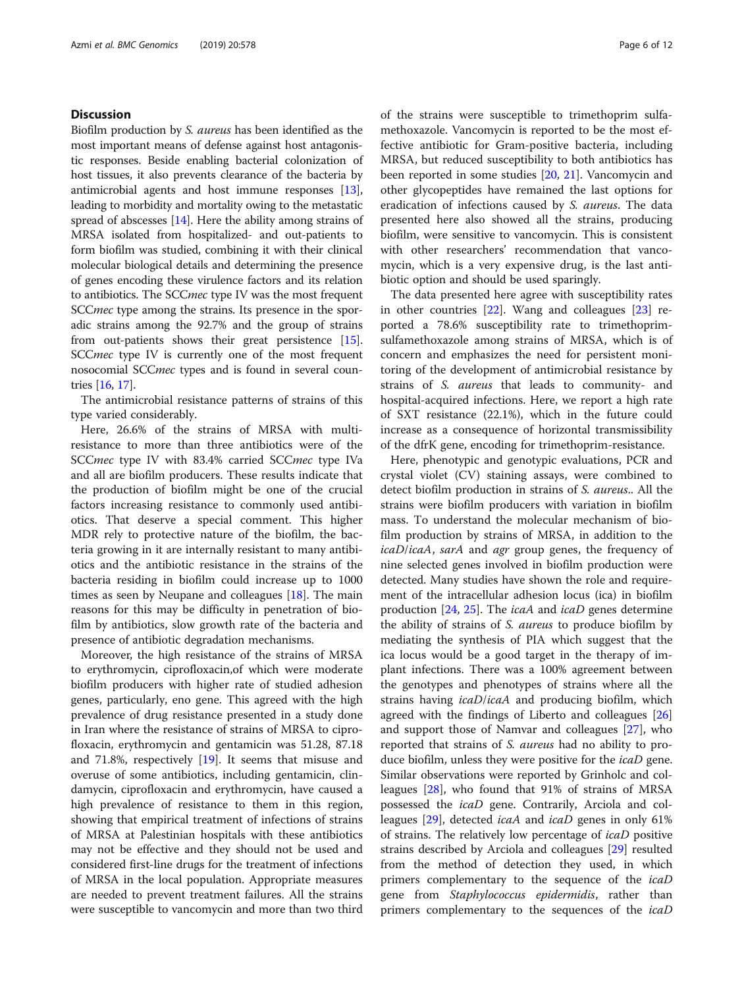# **Discussion**

Biofilm production by S. aureus has been identified as the most important means of defense against host antagonistic responses. Beside enabling bacterial colonization of host tissues, it also prevents clearance of the bacteria by antimicrobial agents and host immune responses [[13](#page-10-0)], leading to morbidity and mortality owing to the metastatic spread of abscesses [[14](#page-10-0)]. Here the ability among strains of MRSA isolated from hospitalized- and out-patients to form biofilm was studied, combining it with their clinical molecular biological details and determining the presence of genes encoding these virulence factors and its relation to antibiotics. The SCCmec type IV was the most frequent SCC*mec* type among the strains. Its presence in the sporadic strains among the 92.7% and the group of strains from out-patients shows their great persistence [[15](#page-10-0)]. SCC*mec* type IV is currently one of the most frequent nosocomial SCCmec types and is found in several countries [[16](#page-10-0), [17\]](#page-10-0).

The antimicrobial resistance patterns of strains of this type varied considerably.

Here, 26.6% of the strains of MRSA with multiresistance to more than three antibiotics were of the SCCmec type IV with 83.4% carried SCCmec type IVa and all are biofilm producers. These results indicate that the production of biofilm might be one of the crucial factors increasing resistance to commonly used antibiotics. That deserve a special comment. This higher MDR rely to protective nature of the biofilm, the bacteria growing in it are internally resistant to many antibiotics and the antibiotic resistance in the strains of the bacteria residing in biofilm could increase up to 1000 times as seen by Neupane and colleagues [[18](#page-10-0)]. The main reasons for this may be difficulty in penetration of biofilm by antibiotics, slow growth rate of the bacteria and presence of antibiotic degradation mechanisms.

Moreover, the high resistance of the strains of MRSA to erythromycin, ciprofloxacin,of which were moderate biofilm producers with higher rate of studied adhesion genes, particularly, eno gene. This agreed with the high prevalence of drug resistance presented in a study done in Iran where the resistance of strains of MRSA to ciprofloxacin, erythromycin and gentamicin was 51.28, 87.18 and 71.8%, respectively [\[19\]](#page-10-0). It seems that misuse and overuse of some antibiotics, including gentamicin, clindamycin, ciprofloxacin and erythromycin, have caused a high prevalence of resistance to them in this region, showing that empirical treatment of infections of strains of MRSA at Palestinian hospitals with these antibiotics may not be effective and they should not be used and considered first-line drugs for the treatment of infections of MRSA in the local population. Appropriate measures are needed to prevent treatment failures. All the strains were susceptible to vancomycin and more than two third of the strains were susceptible to trimethoprim sulfamethoxazole. Vancomycin is reported to be the most effective antibiotic for Gram-positive bacteria, including MRSA, but reduced susceptibility to both antibiotics has been reported in some studies [\[20,](#page-10-0) [21](#page-10-0)]. Vancomycin and other glycopeptides have remained the last options for eradication of infections caused by S. aureus. The data presented here also showed all the strains, producing biofilm, were sensitive to vancomycin. This is consistent with other researchers' recommendation that vancomycin, which is a very expensive drug, is the last antibiotic option and should be used sparingly.

The data presented here agree with susceptibility rates in other countries [\[22\]](#page-10-0). Wang and colleagues [\[23\]](#page-10-0) reported a 78.6% susceptibility rate to trimethoprimsulfamethoxazole among strains of MRSA, which is of concern and emphasizes the need for persistent monitoring of the development of antimicrobial resistance by strains of S. aureus that leads to community- and hospital-acquired infections. Here, we report a high rate of SXT resistance (22.1%), which in the future could increase as a consequence of horizontal transmissibility of the dfrK gene, encoding for trimethoprim-resistance.

Here, phenotypic and genotypic evaluations, PCR and crystal violet (CV) staining assays, were combined to detect biofilm production in strains of S. aureus.. All the strains were biofilm producers with variation in biofilm mass. To understand the molecular mechanism of biofilm production by strains of MRSA, in addition to the icaD/icaA, sarA and agr group genes, the frequency of nine selected genes involved in biofilm production were detected. Many studies have shown the role and requirement of the intracellular adhesion locus (ica) in biofilm production [\[24](#page-10-0), [25](#page-10-0)]. The *icaA* and *icaD* genes determine the ability of strains of S. *aureus* to produce biofilm by mediating the synthesis of PIA which suggest that the ica locus would be a good target in the therapy of implant infections. There was a 100% agreement between the genotypes and phenotypes of strains where all the strains having icaD/icaA and producing biofilm, which agreed with the findings of Liberto and colleagues [[26](#page-10-0)] and support those of Namvar and colleagues [\[27\]](#page-10-0), who reported that strains of S. aureus had no ability to produce biofilm, unless they were positive for the *icaD* gene. Similar observations were reported by Grinholc and colleagues [\[28\]](#page-10-0), who found that 91% of strains of MRSA possessed the icaD gene. Contrarily, Arciola and colleagues [\[29](#page-10-0)], detected icaA and icaD genes in only 61% of strains. The relatively low percentage of icaD positive strains described by Arciola and colleagues [[29](#page-10-0)] resulted from the method of detection they used, in which primers complementary to the sequence of the icaD gene from Staphylococcus epidermidis, rather than primers complementary to the sequences of the *icaD*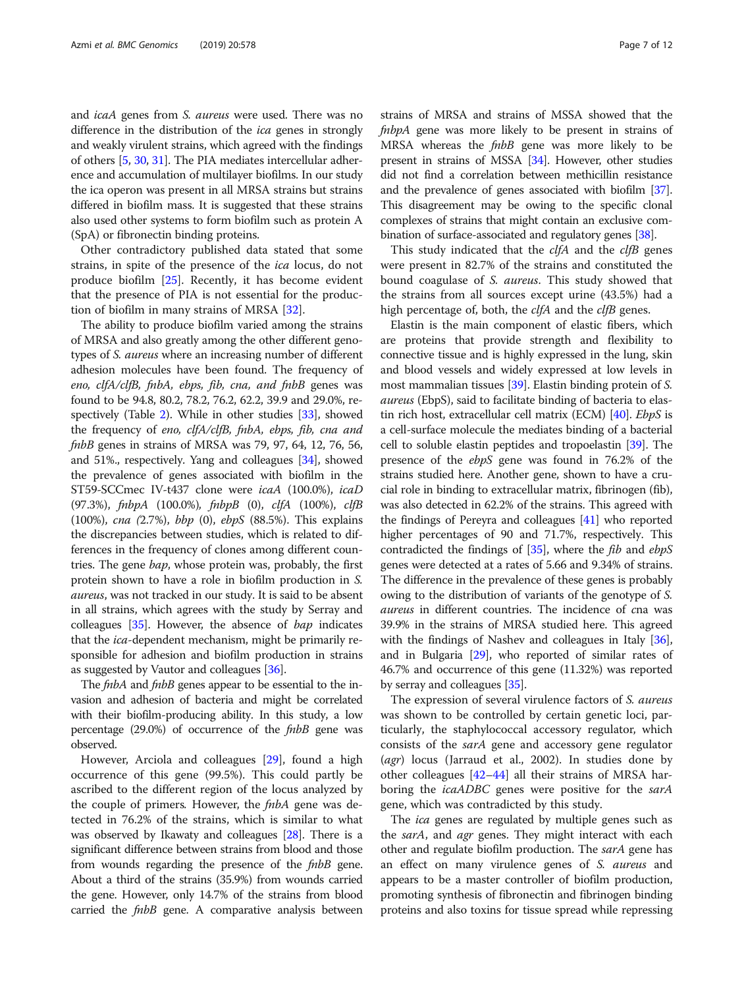and icaA genes from S. aureus were used. There was no difference in the distribution of the ica genes in strongly and weakly virulent strains, which agreed with the findings of others [[5,](#page-9-0) [30](#page-10-0), [31](#page-10-0)]. The PIA mediates intercellular adherence and accumulation of multilayer biofilms. In our study the ica operon was present in all MRSA strains but strains differed in biofilm mass. It is suggested that these strains also used other systems to form biofilm such as protein A (SpA) or fibronectin binding proteins.

Other contradictory published data stated that some strains, in spite of the presence of the ica locus, do not produce biofilm [\[25](#page-10-0)]. Recently, it has become evident that the presence of PIA is not essential for the production of biofilm in many strains of MRSA [\[32](#page-10-0)].

The ability to produce biofilm varied among the strains of MRSA and also greatly among the other different genotypes of S. aureus where an increasing number of different adhesion molecules have been found. The frequency of eno, clfA/clfB, fnbA, ebps, fib, cna, and fnbB genes was found to be 94.8, 80.2, 78.2, 76.2, 62.2, 39.9 and 29.0%, respectively (Table [2\)](#page-3-0). While in other studies [[33](#page-10-0)], showed the frequency of eno, clfA/clfB, fnbA, ebps, fib, cna and fnbB genes in strains of MRSA was 79, 97, 64, 12, 76, 56, and 51%., respectively. Yang and colleagues [[34](#page-10-0)], showed the prevalence of genes associated with biofilm in the ST59-SCCmec IV-t437 clone were icaA (100.0%), icaD (97.3%), fnbpA (100.0%), fnbpB (0), clfA (100%), clfB (100%), cna (2.7%), bbp (0), ebpS (88.5%). This explains the discrepancies between studies, which is related to differences in the frequency of clones among different countries. The gene bap, whose protein was, probably, the first protein shown to have a role in biofilm production in S. aureus, was not tracked in our study. It is said to be absent in all strains, which agrees with the study by Serray and colleagues  $[35]$  $[35]$  $[35]$ . However, the absence of  $bap$  indicates that the ica-dependent mechanism, might be primarily responsible for adhesion and biofilm production in strains as suggested by Vautor and colleagues [\[36](#page-10-0)].

The *fnbA* and *fnbB* genes appear to be essential to the invasion and adhesion of bacteria and might be correlated with their biofilm-producing ability. In this study, a low percentage (29.0%) of occurrence of the fnbB gene was observed.

However, Arciola and colleagues [\[29](#page-10-0)], found a high occurrence of this gene (99.5%). This could partly be ascribed to the different region of the locus analyzed by the couple of primers. However, the fnbA gene was detected in 76.2% of the strains, which is similar to what was observed by Ikawaty and colleagues [\[28\]](#page-10-0). There is a significant difference between strains from blood and those from wounds regarding the presence of the *fnbB* gene. About a third of the strains (35.9%) from wounds carried the gene. However, only 14.7% of the strains from blood carried the *fnbB* gene. A comparative analysis between strains of MRSA and strains of MSSA showed that the fnbpA gene was more likely to be present in strains of MRSA whereas the fnbB gene was more likely to be present in strains of MSSA [[34](#page-10-0)]. However, other studies did not find a correlation between methicillin resistance and the prevalence of genes associated with biofilm [[37](#page-11-0)]. This disagreement may be owing to the specific clonal complexes of strains that might contain an exclusive combination of surface-associated and regulatory genes [\[38\]](#page-11-0).

This study indicated that the *clfA* and the *clfB* genes were present in 82.7% of the strains and constituted the bound coagulase of S. aureus. This study showed that the strains from all sources except urine (43.5%) had a high percentage of, both, the *clfA* and the *clfB* genes.

Elastin is the main component of elastic fibers, which are proteins that provide strength and flexibility to connective tissue and is highly expressed in the lung, skin and blood vessels and widely expressed at low levels in most mammalian tissues [\[39](#page-11-0)]. Elastin binding protein of S. aureus (EbpS), said to facilitate binding of bacteria to elastin rich host, extracellular cell matrix (ECM) [\[40\]](#page-11-0). EbpS is a cell-surface molecule the mediates binding of a bacterial cell to soluble elastin peptides and tropoelastin [\[39\]](#page-11-0). The presence of the ebpS gene was found in 76.2% of the strains studied here. Another gene, shown to have a crucial role in binding to extracellular matrix, fibrinogen (fib), was also detected in 62.2% of the strains. This agreed with the findings of Pereyra and colleagues [\[41\]](#page-11-0) who reported higher percentages of 90 and 71.7%, respectively. This contradicted the findings of  $[35]$  $[35]$  $[35]$ , where the *fib* and *ebpS* genes were detected at a rates of 5.66 and 9.34% of strains. The difference in the prevalence of these genes is probably owing to the distribution of variants of the genotype of S. aureus in different countries. The incidence of cna was 39.9% in the strains of MRSA studied here. This agreed with the findings of Nashev and colleagues in Italy [[36](#page-10-0)], and in Bulgaria [\[29\]](#page-10-0), who reported of similar rates of 46.7% and occurrence of this gene (11.32%) was reported by serray and colleagues [\[35\]](#page-10-0).

The expression of several virulence factors of *S. aureus* was shown to be controlled by certain genetic loci, particularly, the staphylococcal accessory regulator, which consists of the sarA gene and accessory gene regulator (*agr*) locus (Jarraud et al., 2002). In studies done by other colleagues [[42](#page-11-0)–[44\]](#page-11-0) all their strains of MRSA harboring the *icaADBC* genes were positive for the sarA gene, which was contradicted by this study.

The *ica* genes are regulated by multiple genes such as the sarA, and agr genes. They might interact with each other and regulate biofilm production. The sarA gene has an effect on many virulence genes of S. aureus and appears to be a master controller of biofilm production, promoting synthesis of fibronectin and fibrinogen binding proteins and also toxins for tissue spread while repressing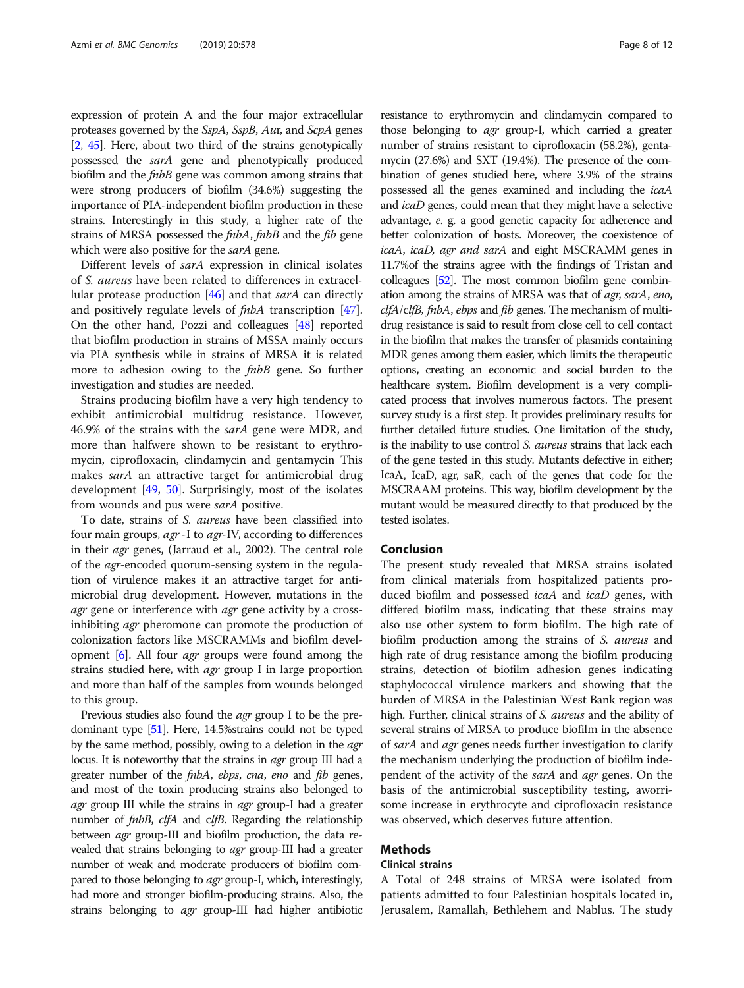expression of protein A and the four major extracellular proteases governed by the SspA, SspB, Aur, and ScpA genes [[2](#page-9-0), [45\]](#page-11-0). Here, about two third of the strains genotypically possessed the sarA gene and phenotypically produced biofilm and the fnbB gene was common among strains that were strong producers of biofilm (34.6%) suggesting the importance of PIA-independent biofilm production in these strains. Interestingly in this study, a higher rate of the strains of MRSA possessed the *fnbA*, *fnbB* and the *fib* gene which were also positive for the sarA gene.

Different levels of sarA expression in clinical isolates of S. aureus have been related to differences in extracellular protease production  $[46]$  $[46]$  and that sarA can directly and positively regulate levels of fnbA transcription [\[47](#page-11-0)]. On the other hand, Pozzi and colleagues [[48](#page-11-0)] reported that biofilm production in strains of MSSA mainly occurs via PIA synthesis while in strains of MRSA it is related more to adhesion owing to the *fnbB* gene. So further investigation and studies are needed.

Strains producing biofilm have a very high tendency to exhibit antimicrobial multidrug resistance. However, 46.9% of the strains with the sarA gene were MDR, and more than halfwere shown to be resistant to erythromycin, ciprofloxacin, clindamycin and gentamycin This makes sarA an attractive target for antimicrobial drug development [[49](#page-11-0), [50\]](#page-11-0). Surprisingly, most of the isolates from wounds and pus were sarA positive.

To date, strains of S. aureus have been classified into four main groups, agr -I to agr-IV, according to differences in their agr genes, (Jarraud et al., 2002). The central role of the agr-encoded quorum-sensing system in the regulation of virulence makes it an attractive target for antimicrobial drug development. However, mutations in the *agr* gene or interference with *agr* gene activity by a crossinhibiting *agr* pheromone can promote the production of colonization factors like MSCRAMMs and biofilm development  $[6]$ . All four *agr* groups were found among the strains studied here, with agr group I in large proportion and more than half of the samples from wounds belonged to this group.

Previous studies also found the *agr* group I to be the predominant type [\[51](#page-11-0)]. Here, 14.5%strains could not be typed by the same method, possibly, owing to a deletion in the agr locus. It is noteworthy that the strains in *agr* group III had a greater number of the fnbA, ebps, cna, eno and fib genes, and most of the toxin producing strains also belonged to *agr* group III while the strains in *agr* group-I had a greater number of *fnbB*, *clfA* and *clfB*. Regarding the relationship between *agr* group-III and biofilm production, the data revealed that strains belonging to agr group-III had a greater number of weak and moderate producers of biofilm compared to those belonging to agr group-I, which, interestingly, had more and stronger biofilm-producing strains. Also, the strains belonging to agr group-III had higher antibiotic

resistance to erythromycin and clindamycin compared to those belonging to *agr* group-I, which carried a greater number of strains resistant to ciprofloxacin (58.2%), gentamycin (27.6%) and SXT (19.4%). The presence of the combination of genes studied here, where 3.9% of the strains possessed all the genes examined and including the icaA and icaD genes, could mean that they might have a selective advantage, e. g. a good genetic capacity for adherence and better colonization of hosts. Moreover, the coexistence of icaA, icaD, agr and sarA and eight MSCRAMM genes in 11.7%of the strains agree with the findings of Tristan and colleagues [\[52](#page-11-0)]. The most common biofilm gene combination among the strains of MRSA was that of agr, sarA, eno, clfA/clfB, fnbA, ebps and fib genes. The mechanism of multidrug resistance is said to result from close cell to cell contact in the biofilm that makes the transfer of plasmids containing MDR genes among them easier, which limits the therapeutic options, creating an economic and social burden to the healthcare system. Biofilm development is a very complicated process that involves numerous factors. The present survey study is a first step. It provides preliminary results for further detailed future studies. One limitation of the study, is the inability to use control S. aureus strains that lack each of the gene tested in this study. Mutants defective in either; IcaA, IcaD, agr, saR, each of the genes that code for the MSCRAAM proteins. This way, biofilm development by the mutant would be measured directly to that produced by the tested isolates.

# Conclusion

The present study revealed that MRSA strains isolated from clinical materials from hospitalized patients produced biofilm and possessed *icaA* and *icaD* genes, with differed biofilm mass, indicating that these strains may also use other system to form biofilm. The high rate of biofilm production among the strains of S. aureus and high rate of drug resistance among the biofilm producing strains, detection of biofilm adhesion genes indicating staphylococcal virulence markers and showing that the burden of MRSA in the Palestinian West Bank region was high. Further, clinical strains of *S. aureus* and the ability of several strains of MRSA to produce biofilm in the absence of sarA and agr genes needs further investigation to clarify the mechanism underlying the production of biofilm independent of the activity of the sarA and agr genes. On the basis of the antimicrobial susceptibility testing, aworrisome increase in erythrocyte and ciprofloxacin resistance was observed, which deserves future attention.

# Methods

#### Clinical strains

A Total of 248 strains of MRSA were isolated from patients admitted to four Palestinian hospitals located in, Jerusalem, Ramallah, Bethlehem and Nablus. The study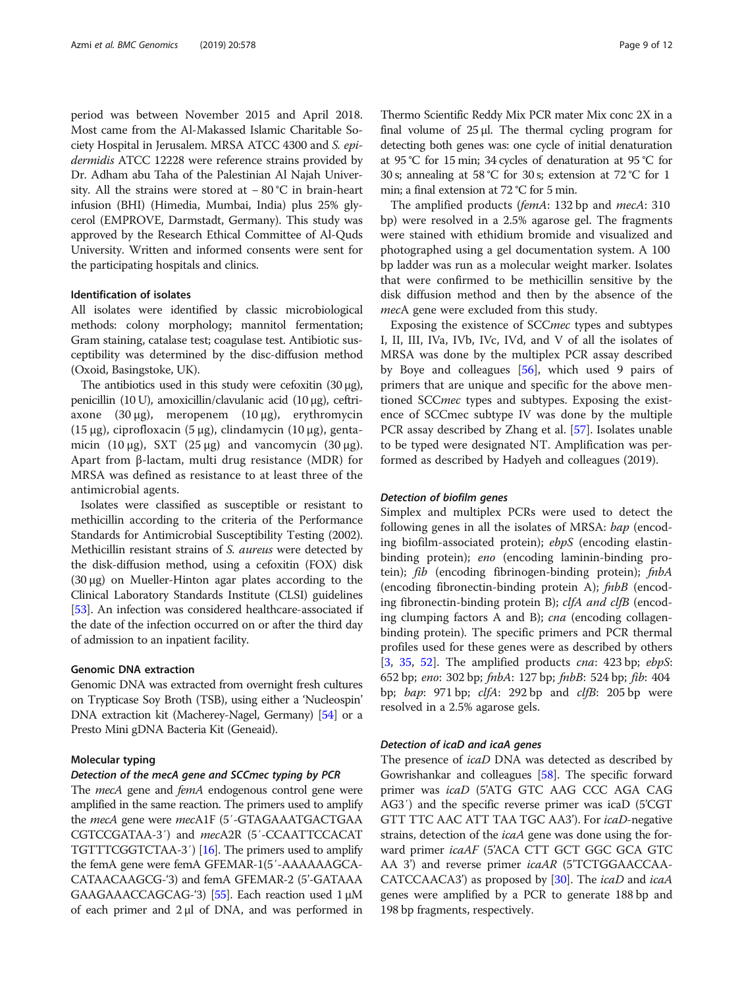period was between November 2015 and April 2018. Most came from the Al-Makassed Islamic Charitable Society Hospital in Jerusalem. MRSA ATCC 4300 and S. epidermidis ATCC 12228 were reference strains provided by Dr. Adham abu Taha of the Palestinian Al Najah University. All the strains were stored at − 80 °C in brain-heart infusion (BHI) (Himedia, Mumbai, India) plus 25% glycerol (EMPROVE, Darmstadt, Germany). This study was approved by the Research Ethical Committee of Al-Quds University. Written and informed consents were sent for the participating hospitals and clinics.

# Identification of isolates

All isolates were identified by classic microbiological methods: colony morphology; mannitol fermentation; Gram staining, catalase test; coagulase test. Antibiotic susceptibility was determined by the disc-diffusion method (Oxoid, Basingstoke, UK).

The antibiotics used in this study were cefoxitin  $(30 \mu g)$ , penicillin (10 U), amoxicillin/clavulanic acid (10 μg), ceftriaxone (30 μg), meropenem (10 μg), erythromycin (15 μg), ciprofloxacin (5 μg), clindamycin (10 μg), gentamicin (10 μg), SXT (25 μg) and vancomycin (30 μg). Apart from β-lactam, multi drug resistance (MDR) for MRSA was defined as resistance to at least three of the antimicrobial agents.

Isolates were classified as susceptible or resistant to methicillin according to the criteria of the Performance Standards for Antimicrobial Susceptibility Testing (2002). Methicillin resistant strains of S. aureus were detected by the disk-diffusion method, using a cefoxitin (FOX) disk (30 μg) on Mueller-Hinton agar plates according to the Clinical Laboratory Standards Institute (CLSI) guidelines [[53](#page-11-0)]. An infection was considered healthcare-associated if the date of the infection occurred on or after the third day of admission to an inpatient facility.

# Genomic DNA extraction

Genomic DNA was extracted from overnight fresh cultures on Trypticase Soy Broth (TSB), using either a 'Nucleospin' DNA extraction kit (Macherey-Nagel, Germany) [[54](#page-11-0)] or a Presto Mini gDNA Bacteria Kit (Geneaid).

## Molecular typing

# Detection of the mecA gene and SCCmec typing by PCR

The *mecA* gene and *femA* endogenous control gene were amplified in the same reaction. The primers used to amplify the mecA gene were mecA1F (5′-GTAGAAATGACTGAA CGTCCGATAA-3′) and mecA2R (5′-CCAATTCCACAT TGTTTCGGTCTAA-3′) [\[16\]](#page-10-0). The primers used to amplify the femA gene were femA GFEMAR-1(5′-AAAAAAGCA-CATAACAAGCG-'3) and femA GFEMAR-2 (5'-GATAAA GAAGAAACCAGCAG-'3) [[55](#page-11-0)]. Each reaction used 1 μM of each primer and 2 μl of DNA, and was performed in

Thermo Scientific Reddy Mix PCR mater Mix conc 2X in a final volume of 25 μl. The thermal cycling program for detecting both genes was: one cycle of initial denaturation at 95 °C for 15 min; 34 cycles of denaturation at 95 °C for 30 s; annealing at 58 °C for 30 s; extension at 72 °C for 1 min; a final extension at 72 °C for 5 min.

The amplified products (femA: 132 bp and mecA: 310 bp) were resolved in a 2.5% agarose gel. The fragments were stained with ethidium bromide and visualized and photographed using a gel documentation system. A 100 bp ladder was run as a molecular weight marker. Isolates that were confirmed to be methicillin sensitive by the disk diffusion method and then by the absence of the mecA gene were excluded from this study.

Exposing the existence of SCCmec types and subtypes I, II, III, IVa, IVb, IVc, IVd, and V of all the isolates of MRSA was done by the multiplex PCR assay described by Boye and colleagues [[56\]](#page-11-0), which used 9 pairs of primers that are unique and specific for the above mentioned SCCmec types and subtypes. Exposing the existence of SCCmec subtype IV was done by the multiple PCR assay described by Zhang et al. [[57](#page-11-0)]. Isolates unable to be typed were designated NT. Amplification was performed as described by Hadyeh and colleagues (2019).

# Detection of biofilm genes

Simplex and multiplex PCRs were used to detect the following genes in all the isolates of MRSA: bap (encoding biofilm-associated protein); ebpS (encoding elastinbinding protein); eno (encoding laminin-binding protein); *fib* (encoding fibrinogen-binding protein); *fnbA* (encoding fibronectin-binding protein A); fnbB (encoding fibronectin-binding protein B); *clfA and clfB* (encoding clumping factors A and B); *cna* (encoding collagenbinding protein). The specific primers and PCR thermal profiles used for these genes were as described by others [[3,](#page-9-0) [35,](#page-10-0) [52\]](#page-11-0). The amplified products cna: 423 bp; ebpS: 652 bp; eno: 302 bp; fnbA: 127 bp; fnbB: 524 bp; fib: 404 bp; *bap*: 971 bp; *clfA*: 292 bp and *clfB*: 205 bp were resolved in a 2.5% agarose gels.

## Detection of icaD and icaA genes

The presence of *icaD* DNA was detected as described by Gowrishankar and colleagues [\[58\]](#page-11-0). The specific forward primer was icaD (5'ATG GTC AAG CCC AGA CAG AG3′) and the specific reverse primer was icaD (5'CGT GTT TTC AAC ATT TAA TGC AA3'). For icaD-negative strains, detection of the *icaA* gene was done using the forward primer icaAF (5'ACA CTT GCT GGC GCA GTC AA 3') and reverse primer *icaAR* (5'TCTGGAACCAA-CATCCAACA3') as proposed by [\[30\]](#page-10-0). The icaD and icaA genes were amplified by a PCR to generate 188 bp and 198 bp fragments, respectively.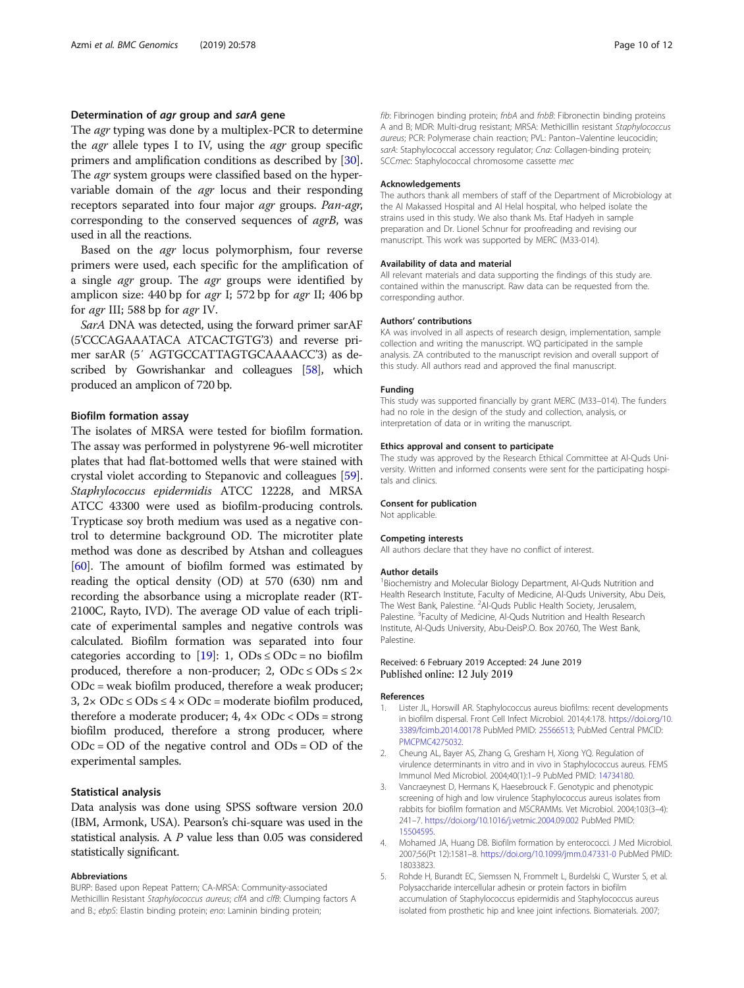# <span id="page-9-0"></span>Determination of agr group and sarA gene

The agr typing was done by a multiplex-PCR to determine the agr allele types I to IV, using the agr group specific primers and amplification conditions as described by [[30](#page-10-0)]. The *agr* system groups were classified based on the hypervariable domain of the agr locus and their responding receptors separated into four major agr groups. Pan-agr, corresponding to the conserved sequences of agrB, was used in all the reactions.

Based on the *agr* locus polymorphism, four reverse primers were used, each specific for the amplification of a single *agr* group. The *agr* groups were identified by amplicon size: 440 bp for agr I; 572 bp for agr II; 406 bp for agr III; 588 bp for agr IV.

SarA DNA was detected, using the forward primer sarAF (5'CCCAGAAATACA ATCACTGTG'3) and reverse primer sarAR (5′ AGTGCCATTAGTGCAAAACC'3) as described by Gowrishankar and colleagues [[58](#page-11-0)], which produced an amplicon of 720 bp.

# Biofilm formation assay

The isolates of MRSA were tested for biofilm formation. The assay was performed in polystyrene 96-well microtiter plates that had flat-bottomed wells that were stained with crystal violet according to Stepanovic and colleagues [[59](#page-11-0)]. Staphylococcus epidermidis ATCC 12228, and MRSA ATCC 43300 were used as biofilm-producing controls. Trypticase soy broth medium was used as a negative control to determine background OD. The microtiter plate method was done as described by Atshan and colleagues [[60](#page-11-0)]. The amount of biofilm formed was estimated by reading the optical density (OD) at 570 (630) nm and recording the absorbance using a microplate reader (RT-2100C, Rayto, IVD). The average OD value of each triplicate of experimental samples and negative controls was calculated. Biofilm formation was separated into four categories according to  $[19]$ : 1, ODs  $\le$  ODc = no biofilm produced, therefore a non-producer; 2,  $ODc \leq ODs \leq 2 \times$ ODc = weak biofilm produced, therefore a weak producer; 3,  $2 \times$  ODc  $\le$  ODs  $\le$  4  $\times$  ODc = moderate biofilm produced, therefore a moderate producer;  $4$ ,  $4 \times$  ODc  $<$  ODs = strong biofilm produced, therefore a strong producer, where  $ODc = OD$  of the negative control and  $ODs = OD$  of the experimental samples.

# Statistical analysis

Data analysis was done using SPSS software version 20.0 (IBM, Armonk, USA). Pearson's chi-square was used in the statistical analysis. A P value less than 0.05 was considered statistically significant.

#### Abbreviations

BURP: Based upon Repeat Pattern; CA-MRSA: Community-associated Methicillin Resistant Staphylococcus aureus; clfA and clfB: Clumping factors A and B.; ebpS: Elastin binding protein; eno: Laminin binding protein;

fib: Fibrinogen binding protein; fnbA and fnbB: Fibronectin binding proteins A and B; MDR: Multi-drug resistant; MRSA: Methicillin resistant Staphylococcus aureus; PCR: Polymerase chain reaction; PVL: Panton–Valentine leucocidin; sarA: Staphylococcal accessory regulator; Cna: Collagen-binding protein; SCCmec: Staphylococcal chromosome cassette mec

#### Acknowledgements

The authors thank all members of staff of the Department of Microbiology at the Al Makassed Hospital and Al Helal hospital, who helped isolate the strains used in this study. We also thank Ms. Etaf Hadyeh in sample preparation and Dr. Lionel Schnur for proofreading and revising our manuscript. This work was supported by MERC (M33-014).

#### Availability of data and material

All relevant materials and data supporting the findings of this study are. contained within the manuscript. Raw data can be requested from the. corresponding author.

#### Authors' contributions

KA was involved in all aspects of research design, implementation, sample collection and writing the manuscript. WQ participated in the sample analysis. ZA contributed to the manuscript revision and overall support of this study. All authors read and approved the final manuscript.

#### Funding

This study was supported financially by grant MERC (M33–014). The funders had no role in the design of the study and collection, analysis, or interpretation of data or in writing the manuscript.

#### Ethics approval and consent to participate

The study was approved by the Research Ethical Committee at Al-Quds University. Written and informed consents were sent for the participating hospitals and clinics.

#### Consent for publication

Not applicable.

#### Competing interests

All authors declare that they have no conflict of interest.

#### Author details

<sup>1</sup> Biochemistry and Molecular Biology Department, Al-Quds Nutrition and Health Research Institute, Faculty of Medicine, Al-Quds University, Abu Deis, The West Bank, Palestine. <sup>2</sup>Al-Quds Public Health Society, Jerusalem, Palestine. <sup>3</sup>Faculty of Medicine, Al-Quds Nutrition and Health Research Institute, Al-Quds University, Abu-DeisP.O. Box 20760, The West Bank, Palestine.

# Received: 6 February 2019 Accepted: 24 June 2019 Published online: 12 July 2019

#### References

- Lister JL, Horswill AR. Staphylococcus aureus biofilms: recent developments in biofilm dispersal. Front Cell Infect Microbiol. 2014;4:178. [https://doi.org/10.](https://doi.org/10.3389/fcimb.2014.00178) [3389/fcimb.2014.00178](https://doi.org/10.3389/fcimb.2014.00178) PubMed PMID: [25566513;](https://www.ncbi.nlm.nih.gov/pubmed/25566513) PubMed Central PMCID: [PMCPMC4275032.](https://www.ncbi.nlm.nih.gov/pubmed/PMCPMC4275032)
- 2. Cheung AL, Bayer AS, Zhang G, Gresham H, Xiong YQ. Regulation of virulence determinants in vitro and in vivo in Staphylococcus aureus. FEMS Immunol Med Microbiol. 2004;40(1):1–9 PubMed PMID: [14734180.](https://www.ncbi.nlm.nih.gov/pubmed/14734180)
- 3. Vancraeynest D, Hermans K, Haesebrouck F. Genotypic and phenotypic screening of high and low virulence Staphylococcus aureus isolates from rabbits for biofilm formation and MSCRAMMs. Vet Microbiol. 2004;103(3–4): 241–7. <https://doi.org/10.1016/j.vetmic.2004.09.002> PubMed PMID: [15504595](https://www.ncbi.nlm.nih.gov/pubmed/15504595).
- 4. Mohamed JA, Huang DB. Biofilm formation by enterococci. J Med Microbiol. 2007;56(Pt 12):1581–8. <https://doi.org/10.1099/jmm.0.47331-0> PubMed PMID: 18033823.
- 5. Rohde H, Burandt EC, Siemssen N, Frommelt L, Burdelski C, Wurster S, et al. Polysaccharide intercellular adhesin or protein factors in biofilm accumulation of Staphylococcus epidermidis and Staphylococcus aureus isolated from prosthetic hip and knee joint infections. Biomaterials. 2007;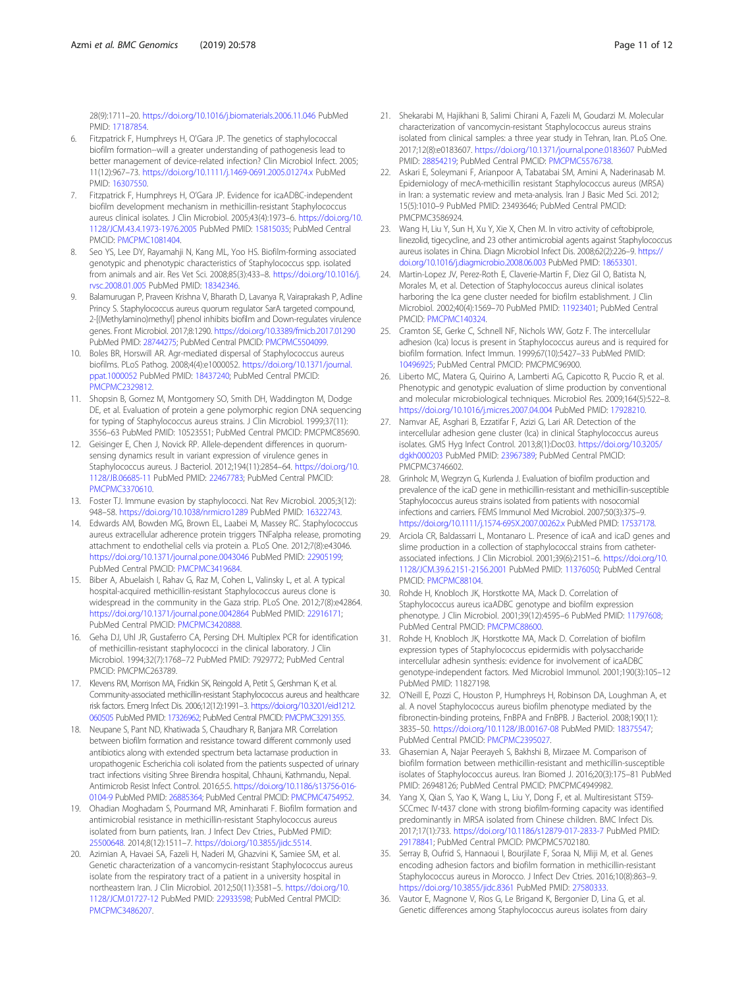<span id="page-10-0"></span>28(9):1711–20. <https://doi.org/10.1016/j.biomaterials.2006.11.046> PubMed PMID: [17187854](https://www.ncbi.nlm.nih.gov/pubmed/17187854).

- 6. Fitzpatrick F, Humphreys H, O'Gara JP. The genetics of staphylococcal biofilm formation--will a greater understanding of pathogenesis lead to better management of device-related infection? Clin Microbiol Infect. 2005; 11(12):967–73. <https://doi.org/10.1111/j.1469-0691.2005.01274.x> PubMed PMID: [16307550](https://www.ncbi.nlm.nih.gov/pubmed/16307550).
- 7. Fitzpatrick F, Humphreys H, O'Gara JP. Evidence for icaADBC-independent biofilm development mechanism in methicillin-resistant Staphylococcus aureus clinical isolates. J Clin Microbiol. 2005;43(4):1973–6. [https://doi.org/10.](https://doi.org/10.1128/JCM.43.4.1973-1976.2005) [1128/JCM.43.4.1973-1976.2005](https://doi.org/10.1128/JCM.43.4.1973-1976.2005) PubMed PMID: [15815035;](https://www.ncbi.nlm.nih.gov/pubmed/15815035) PubMed Central PMCID: [PMCPMC1081404](https://www.ncbi.nlm.nih.gov/pubmed/PMCPMC1081404).
- 8. Seo YS, Lee DY, Rayamahji N, Kang ML, Yoo HS. Biofilm-forming associated genotypic and phenotypic characteristics of Staphylococcus spp. isolated from animals and air. Res Vet Sci. 2008;85(3):433–8. [https://doi.org/10.1016/j.](https://doi.org/10.1016/j.rvsc.2008.01.005) [rvsc.2008.01.005](https://doi.org/10.1016/j.rvsc.2008.01.005) PubMed PMID: [18342346.](https://www.ncbi.nlm.nih.gov/pubmed/18342346)
- 9. Balamurugan P, Praveen Krishna V, Bharath D, Lavanya R, Vairaprakash P, Adline Princy S. Staphylococcus aureus quorum regulator SarA targeted compound, 2-[(Methylamino)methyl] phenol inhibits biofilm and Down-regulates virulence genes. Front Microbiol. 2017;8:1290. <https://doi.org/10.3389/fmicb.2017.01290> PubMed PMID: [28744275](https://www.ncbi.nlm.nih.gov/pubmed/28744275); PubMed Central PMCID: [PMCPMC5504099.](https://www.ncbi.nlm.nih.gov/pubmed/PMCPMC5504099)
- 10. Boles BR, Horswill AR. Agr-mediated dispersal of Staphylococcus aureus biofilms. PLoS Pathog. 2008;4(4):e1000052. [https://doi.org/10.1371/journal.](https://doi.org/10.1371/journal.ppat.1000052) [ppat.1000052](https://doi.org/10.1371/journal.ppat.1000052) PubMed PMID: [18437240;](https://www.ncbi.nlm.nih.gov/pubmed/18437240) PubMed Central PMCID: [PMCPMC2329812.](https://www.ncbi.nlm.nih.gov/pubmed/PMCPMC2329812)
- 11. Shopsin B, Gomez M, Montgomery SO, Smith DH, Waddington M, Dodge DE, et al. Evaluation of protein a gene polymorphic region DNA sequencing for typing of Staphylococcus aureus strains. J Clin Microbiol. 1999;37(11): 3556–63 PubMed PMID: 10523551; PubMed Central PMCID: PMCPMC85690.
- 12. Geisinger E, Chen J, Novick RP. Allele-dependent differences in quorumsensing dynamics result in variant expression of virulence genes in Staphylococcus aureus. J Bacteriol. 2012;194(11):2854–64. [https://doi.org/10.](https://doi.org/10.1128/JB.06685-11) [1128/JB.06685-11](https://doi.org/10.1128/JB.06685-11) PubMed PMID: [22467783;](https://www.ncbi.nlm.nih.gov/pubmed/22467783) PubMed Central PMCID: [PMCPMC3370610.](https://www.ncbi.nlm.nih.gov/pubmed/PMCPMC3370610)
- 13. Foster TJ. Immune evasion by staphylococci. Nat Rev Microbiol. 2005;3(12): 948–58. <https://doi.org/10.1038/nrmicro1289> PubMed PMID: [16322743.](https://www.ncbi.nlm.nih.gov/pubmed/16322743)
- 14. Edwards AM, Bowden MG, Brown EL, Laabei M, Massey RC. Staphylococcus aureus extracellular adherence protein triggers TNFalpha release, promoting attachment to endothelial cells via protein a. PLoS One. 2012;7(8):e43046. <https://doi.org/10.1371/journal.pone.0043046> PubMed PMID: [22905199](https://www.ncbi.nlm.nih.gov/pubmed/22905199); PubMed Central PMCID: [PMCPMC3419684](https://www.ncbi.nlm.nih.gov/pubmed/PMCPMC3419684).
- 15. Biber A, Abuelaish I, Rahav G, Raz M, Cohen L, Valinsky L, et al. A typical hospital-acquired methicillin-resistant Staphylococcus aureus clone is widespread in the community in the Gaza strip. PLoS One. 2012;7(8):e42864. <https://doi.org/10.1371/journal.pone.0042864> PubMed PMID: [22916171](https://www.ncbi.nlm.nih.gov/pubmed/22916171); PubMed Central PMCID: [PMCPMC3420888](https://www.ncbi.nlm.nih.gov/pubmed/PMCPMC3420888).
- 16. Geha DJ, Uhl JR, Gustaferro CA, Persing DH. Multiplex PCR for identification of methicillin-resistant staphylococci in the clinical laboratory. J Clin Microbiol. 1994;32(7):1768–72 PubMed PMID: 7929772; PubMed Central PMCID: PMCPMC263789.
- 17. Klevens RM, Morrison MA, Fridkin SK, Reingold A, Petit S, Gershman K, et al. Community-associated methicillin-resistant Staphylococcus aureus and healthcare risk factors. Emerg Infect Dis. 2006;12(12):1991–3. [https://doi.org/10.3201/eid1212.](https://doi.org/10.3201/eid1212.060505) [060505](https://doi.org/10.3201/eid1212.060505) PubMed PMID: [17326962;](https://www.ncbi.nlm.nih.gov/pubmed/17326962) PubMed Central PMCID: [PMCPMC3291355](https://www.ncbi.nlm.nih.gov/pubmed/PMCPMC3291355).
- 18. Neupane S, Pant ND, Khatiwada S, Chaudhary R, Banjara MR. Correlation between biofilm formation and resistance toward different commonly used antibiotics along with extended spectrum beta lactamase production in uropathogenic Escherichia coli isolated from the patients suspected of urinary tract infections visiting Shree Birendra hospital, Chhauni, Kathmandu, Nepal. Antimicrob Resist Infect Control. 2016;5:5. [https://doi.org/10.1186/s13756-016-](https://doi.org/10.1186/s13756-016-0104-9) [0104-9](https://doi.org/10.1186/s13756-016-0104-9) PubMed PMID: [26885364;](https://www.ncbi.nlm.nih.gov/pubmed/26885364) PubMed Central PMCID: [PMCPMC4754952](https://www.ncbi.nlm.nih.gov/pubmed/PMCPMC4754952).
- 19. Ohadian Moghadam S, Pourmand MR, Aminharati F. Biofilm formation and antimicrobial resistance in methicillin-resistant Staphylococcus aureus isolated from burn patients, Iran. J Infect Dev Ctries., PubMed PMID: [25500648.](https://www.ncbi.nlm.nih.gov/pubmed/25500648) 2014;8(12):1511–7. <https://doi.org/10.3855/jidc.5514>.
- 20. Azimian A, Havaei SA, Fazeli H, Naderi M, Ghazvini K, Samiee SM, et al. Genetic characterization of a vancomycin-resistant Staphylococcus aureus isolate from the respiratory tract of a patient in a university hospital in northeastern Iran. J Clin Microbiol. 2012;50(11):3581–5. [https://doi.org/10.](https://doi.org/10.1128/JCM.01727-12) [1128/JCM.01727-12](https://doi.org/10.1128/JCM.01727-12) PubMed PMID: [22933598;](https://www.ncbi.nlm.nih.gov/pubmed/22933598) PubMed Central PMCID: [PMCPMC3486207.](https://www.ncbi.nlm.nih.gov/pubmed/PMCPMC3486207)
- 21. Shekarabi M, Hajikhani B, Salimi Chirani A, Fazeli M, Goudarzi M. Molecular characterization of vancomycin-resistant Staphylococcus aureus strains isolated from clinical samples: a three year study in Tehran, Iran. PLoS One. 2017;12(8):e0183607. <https://doi.org/10.1371/journal.pone.0183607> PubMed PMID: [28854219](https://www.ncbi.nlm.nih.gov/pubmed/28854219); PubMed Central PMCID: [PMCPMC5576738.](https://www.ncbi.nlm.nih.gov/pubmed/PMCPMC5576738)
- 22. Askari E, Soleymani F, Arianpoor A, Tabatabai SM, Amini A, Naderinasab M. Epidemiology of mecA-methicillin resistant Staphylococcus aureus (MRSA) in Iran: a systematic review and meta-analysis. Iran J Basic Med Sci. 2012; 15(5):1010–9 PubMed PMID: 23493646; PubMed Central PMCID: PMCPMC3586924.
- 23. Wang H, Liu Y, Sun H, Xu Y, Xie X, Chen M. In vitro activity of ceftobiprole, linezolid, tigecycline, and 23 other antimicrobial agents against Staphylococcus aureus isolates in China. Diagn Microbiol Infect Dis. 2008;62(2):226–9. [https://](https://doi.org/10.1016/j.diagmicrobio.2008.06.003) [doi.org/10.1016/j.diagmicrobio.2008.06.003](https://doi.org/10.1016/j.diagmicrobio.2008.06.003) PubMed PMID: [18653301.](https://www.ncbi.nlm.nih.gov/pubmed/18653301)
- 24. Martin-Lopez JV, Perez-Roth E, Claverie-Martin F, Diez Gil O, Batista N, Morales M, et al. Detection of Staphylococcus aureus clinical isolates harboring the Ica gene cluster needed for biofilm establishment. J Clin Microbiol. 2002;40(4):1569–70 PubMed PMID: [11923401;](https://www.ncbi.nlm.nih.gov/pubmed/11923401) PubMed Central PMCID: PMCPMC140324
- 25. Cramton SE, Gerke C, Schnell NF, Nichols WW, Gotz F. The intercellular adhesion (Ica) locus is present in Staphylococcus aureus and is required for biofilm formation. Infect Immun. 1999;67(10):5427–33 PubMed PMID: [10496925;](https://www.ncbi.nlm.nih.gov/pubmed/10496925) PubMed Central PMCID: PMCPMC96900.
- 26. Liberto MC, Matera G, Quirino A, Lamberti AG, Capicotto R, Puccio R, et al. Phenotypic and genotypic evaluation of slime production by conventional and molecular microbiological techniques. Microbiol Res. 2009;164(5):522–8. <https://doi.org/10.1016/j.micres.2007.04.004> PubMed PMID: [17928210](https://www.ncbi.nlm.nih.gov/pubmed/17928210).
- 27. Namvar AE, Asghari B, Ezzatifar F, Azizi G, Lari AR. Detection of the intercellular adhesion gene cluster (Ica) in clinical Staphylococcus aureus isolates. GMS Hyg Infect Control. 2013;8(1):Doc03. [https://doi.org/10.3205/](https://doi.org/10.3205/dgkh000203) [dgkh000203](https://doi.org/10.3205/dgkh000203) PubMed PMID: [23967389;](https://www.ncbi.nlm.nih.gov/pubmed/23967389) PubMed Central PMCID: PMCPMC3746602.
- 28. Grinholc M, Wegrzyn G, Kurlenda J. Evaluation of biofilm production and prevalence of the icaD gene in methicillin-resistant and methicillin-susceptible Staphylococcus aureus strains isolated from patients with nosocomial infections and carriers. FEMS Immunol Med Microbiol. 2007;50(3):375–9. <https://doi.org/10.1111/j.1574-695X.2007.00262.x> PubMed PMID: [17537178.](https://www.ncbi.nlm.nih.gov/pubmed/17537178)
- 29. Arciola CR, Baldassarri L, Montanaro L. Presence of icaA and icaD genes and slime production in a collection of staphylococcal strains from catheterassociated infections. J Clin Microbiol. 2001;39(6):2151–6. [https://doi.org/10.](https://doi.org/10.1128/JCM.39.6.2151-2156.2001) [1128/JCM.39.6.2151-2156.2001](https://doi.org/10.1128/JCM.39.6.2151-2156.2001) PubMed PMID: [11376050;](https://www.ncbi.nlm.nih.gov/pubmed/11376050) PubMed Central PMCID: [PMCPMC88104](https://www.ncbi.nlm.nih.gov/pubmed/PMCPMC88104).
- 30. Rohde H, Knobloch JK, Horstkotte MA, Mack D. Correlation of Staphylococcus aureus icaADBC genotype and biofilm expression phenotype. J Clin Microbiol. 2001;39(12):4595–6 PubMed PMID: [11797608;](https://www.ncbi.nlm.nih.gov/pubmed/11797608) PubMed Central PMCID: [PMCPMC88600.](https://www.ncbi.nlm.nih.gov/pubmed/PMCPMC88600)
- 31. Rohde H, Knobloch JK, Horstkotte MA, Mack D. Correlation of biofilm expression types of Staphylococcus epidermidis with polysaccharide intercellular adhesin synthesis: evidence for involvement of icaADBC genotype-independent factors. Med Microbiol Immunol. 2001;190(3):105–12 PubMed PMID: 11827198.
- 32. O'Neill E, Pozzi C, Houston P, Humphreys H, Robinson DA, Loughman A, et al. A novel Staphylococcus aureus biofilm phenotype mediated by the fibronectin-binding proteins, FnBPA and FnBPB. J Bacteriol. 2008;190(11): 3835–50. <https://doi.org/10.1128/JB.00167-08> PubMed PMID: [18375547](https://www.ncbi.nlm.nih.gov/pubmed/18375547); PubMed Central PMCID: [PMCPMC2395027](https://www.ncbi.nlm.nih.gov/pubmed/PMCPMC2395027).
- 33. Ghasemian A, Najar Peerayeh S, Bakhshi B, Mirzaee M. Comparison of biofilm formation between methicillin-resistant and methicillin-susceptible isolates of Staphylococcus aureus. Iran Biomed J. 2016;20(3):175–81 PubMed PMID: 26948126; PubMed Central PMCID: PMCPMC4949982.
- 34. Yang X, Qian S, Yao K, Wang L, Liu Y, Dong F, et al. Multiresistant ST59- SCCmec IV-t437 clone with strong biofilm-forming capacity was identified predominantly in MRSA isolated from Chinese children. BMC Infect Dis. 2017;17(1):733. <https://doi.org/10.1186/s12879-017-2833-7> PubMed PMID: [29178841;](https://www.ncbi.nlm.nih.gov/pubmed/29178841) PubMed Central PMCID: PMCPMC5702180.
- 35. Serray B, Oufrid S, Hannaoui I, Bourjilate F, Soraa N, Mliji M, et al. Genes encoding adhesion factors and biofilm formation in methicillin-resistant Staphylococcus aureus in Morocco. J Infect Dev Ctries. 2016;10(8):863–9. <https://doi.org/10.3855/jidc.8361> PubMed PMID: [27580333.](https://www.ncbi.nlm.nih.gov/pubmed/27580333)
- 36. Vautor E, Magnone V, Rios G, Le Brigand K, Bergonier D, Lina G, et al. Genetic differences among Staphylococcus aureus isolates from dairy